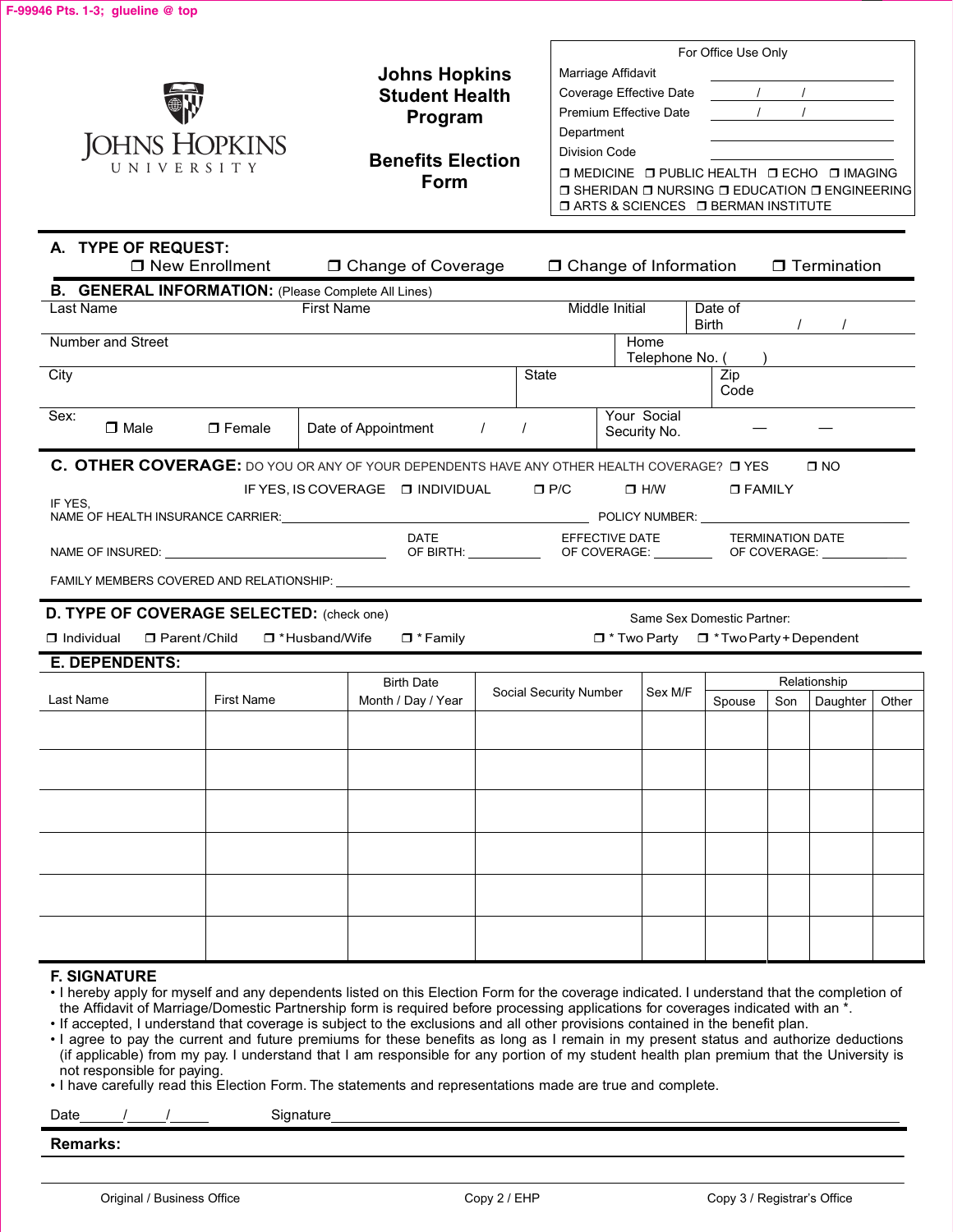|                                                                                       |                   |                                                                                                                                                                                                      |                                                                                                                                                                      |                                                                                                                     |                             | For Office Use Only                                                             |     |                          |       |
|---------------------------------------------------------------------------------------|-------------------|------------------------------------------------------------------------------------------------------------------------------------------------------------------------------------------------------|----------------------------------------------------------------------------------------------------------------------------------------------------------------------|---------------------------------------------------------------------------------------------------------------------|-----------------------------|---------------------------------------------------------------------------------|-----|--------------------------|-------|
|                                                                                       |                   | <b>Johns Hopkins</b><br><b>Student Health</b>                                                                                                                                                        |                                                                                                                                                                      | Marriage Affidavit<br>Coverage Effective Date                                                                       |                             | $\overline{1}$                                                                  |     |                          |       |
|                                                                                       |                   | Program                                                                                                                                                                                              |                                                                                                                                                                      | <b>Premium Effective Date</b>                                                                                       |                             | $\overline{1}$                                                                  |     |                          |       |
| JOHNS HOPKINS                                                                         |                   |                                                                                                                                                                                                      |                                                                                                                                                                      | Department                                                                                                          |                             |                                                                                 |     |                          |       |
| UNIVERSITY                                                                            |                   | <b>Benefits Election</b>                                                                                                                                                                             |                                                                                                                                                                      | Division Code                                                                                                       |                             |                                                                                 |     |                          |       |
|                                                                                       |                   | <b>Form</b>                                                                                                                                                                                          | O MEDICINE O PUBLIC HEALTH O ECHO O IMAGING<br>$\Box$ SHERIDAN $\Box$ NURSING $\Box$ EDUCATION $\Box$ ENGINEERING<br><b>O ARTS &amp; SCIENCES O BERMAN INSTITUTE</b> |                                                                                                                     |                             |                                                                                 |     |                          |       |
|                                                                                       |                   |                                                                                                                                                                                                      |                                                                                                                                                                      |                                                                                                                     |                             |                                                                                 |     |                          |       |
| A. TYPE OF REQUEST:                                                                   |                   |                                                                                                                                                                                                      |                                                                                                                                                                      |                                                                                                                     |                             |                                                                                 |     |                          |       |
| □ New Enrollment                                                                      |                   | □ Change of Coverage                                                                                                                                                                                 |                                                                                                                                                                      | □ Change of Information                                                                                             |                             |                                                                                 |     | <b>T</b> Termination     |       |
| <b>B. GENERAL INFORMATION: (Please Complete All Lines)</b>                            |                   |                                                                                                                                                                                                      |                                                                                                                                                                      |                                                                                                                     |                             |                                                                                 |     |                          |       |
| Last Name                                                                             |                   | <b>First Name</b>                                                                                                                                                                                    |                                                                                                                                                                      | Middle Initial                                                                                                      |                             | Date of<br><b>Birth</b>                                                         |     |                          |       |
| Number and Street                                                                     |                   |                                                                                                                                                                                                      |                                                                                                                                                                      |                                                                                                                     | Home<br>Telephone No. (     |                                                                                 |     |                          |       |
| City                                                                                  |                   |                                                                                                                                                                                                      | State                                                                                                                                                                |                                                                                                                     |                             | Zip                                                                             |     |                          |       |
|                                                                                       |                   |                                                                                                                                                                                                      |                                                                                                                                                                      |                                                                                                                     |                             | Code                                                                            |     |                          |       |
| Sex:<br>$\Box$ Male                                                                   | $\square$ Female  | Date of Appointment /                                                                                                                                                                                |                                                                                                                                                                      |                                                                                                                     | Your Social<br>Security No. |                                                                                 |     |                          |       |
| IF YES.                                                                               |                   | IF YES, IS COVERAGE IN INDIVIDUAL IF YES, IS COVERAGE IN INDIVIDUAL<br><b>DATE</b><br>FAMILY MEMBERS COVERED AND RELATIONSHIP: University of the state of the state of the state of the state of the |                                                                                                                                                                      | EFFECTIVE DATE TERMINATION DATE<br>OF BIRTH: ________________OF COVERAGE: ____________OF COVERAGE: ________________ | $\Box$ H/W                  | $\square$ FAMILY                                                                |     |                          |       |
| D. TYPE OF COVERAGE SELECTED: (check one)<br>$\Box$ Parent/Child<br>$\Box$ Individual |                   | □ *Husband/Wife<br>$\Box$ * Family                                                                                                                                                                   |                                                                                                                                                                      |                                                                                                                     |                             | Same Sex Domestic Partner:<br>$\Box$ * Two Party $\Box$ * Two Party + Dependent |     |                          |       |
| <b>E. DEPENDENTS:</b>                                                                 |                   |                                                                                                                                                                                                      |                                                                                                                                                                      |                                                                                                                     |                             |                                                                                 |     |                          |       |
| Last Name                                                                             | <b>First Name</b> | <b>Birth Date</b><br>Month / Day / Year                                                                                                                                                              |                                                                                                                                                                      | Social Security Number                                                                                              | Sex M/F                     | Spouse                                                                          | Son | Relationship<br>Daughter | Other |
|                                                                                       |                   |                                                                                                                                                                                                      |                                                                                                                                                                      |                                                                                                                     |                             |                                                                                 |     |                          |       |
|                                                                                       |                   |                                                                                                                                                                                                      |                                                                                                                                                                      |                                                                                                                     |                             |                                                                                 |     |                          |       |
|                                                                                       |                   |                                                                                                                                                                                                      |                                                                                                                                                                      |                                                                                                                     |                             |                                                                                 |     |                          |       |
|                                                                                       |                   |                                                                                                                                                                                                      |                                                                                                                                                                      |                                                                                                                     |                             |                                                                                 |     |                          |       |
|                                                                                       |                   |                                                                                                                                                                                                      |                                                                                                                                                                      |                                                                                                                     |                             |                                                                                 |     |                          |       |
|                                                                                       |                   |                                                                                                                                                                                                      |                                                                                                                                                                      |                                                                                                                     |                             |                                                                                 |     |                          |       |
|                                                                                       |                   |                                                                                                                                                                                                      |                                                                                                                                                                      |                                                                                                                     |                             |                                                                                 |     |                          |       |
| <b>F. SIGNATURE</b>                                                                   |                   |                                                                                                                                                                                                      |                                                                                                                                                                      |                                                                                                                     |                             |                                                                                 |     |                          |       |

• I hereby apply for myself and any dependents listed on this Election Form for the coverage indicated. I understand that the completion of<br>• the Affidavit of Marriage/Domestic Partnership form is required before processin the Affidavit of Marriage/Domestic Partnership form is required before processing applications for coverages indicated with an \*.

• If accepted, I understand that coverage is subject to the exclusions and all other provisions contained in the benefit plan.

I agree to pay the current and future premiums for these benefits as long as I remain in my present status and authorize deductions (if applicable) from my pay. I understand that I am responsible for any portion of my stud not responsible for paying.

• I have carefully read this Election Form. The statements and representations made are true and complete.

Date Signature

**Remarks:**

**F-99946 Pts. 1-3; glueline @ top**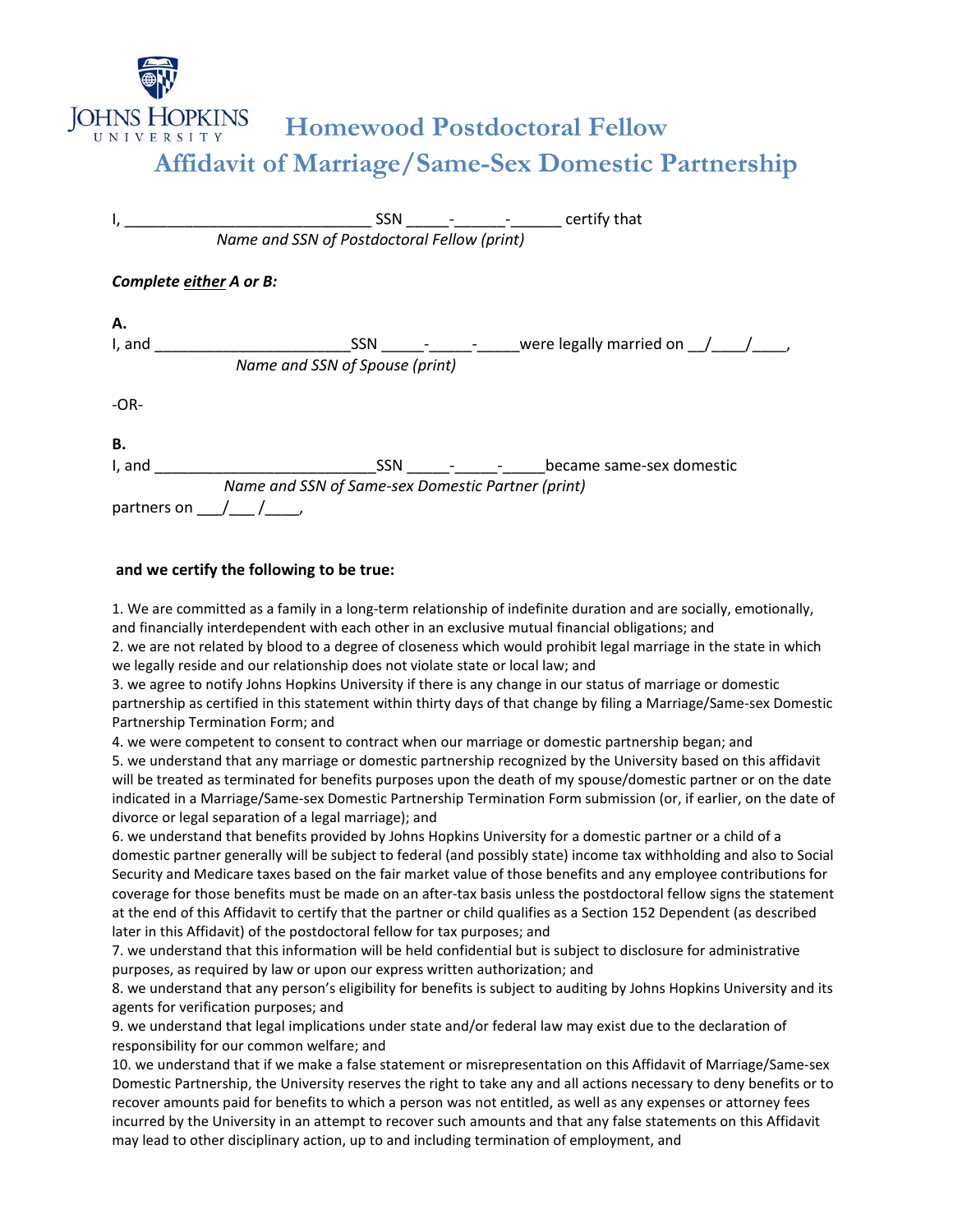

## **Homewood Postdoctoral Fellow Affidavit of Marriage/Same-Sex Domestic Partnership**

|                         |                                                   |     |  | SSN - - - - certify that                   |
|-------------------------|---------------------------------------------------|-----|--|--------------------------------------------|
|                         | Name and SSN of Postdoctoral Fellow (print)       |     |  |                                            |
| Complete either A or B: |                                                   |     |  |                                            |
| Α.                      |                                                   |     |  |                                            |
| I, and                  | <u> 1990 - John Harry Barn, mars a</u>            |     |  | $SSN \t - -$ were legally married on $/$ / |
|                         | Name and SSN of Spouse (print)                    |     |  |                                            |
| $-OR-$                  |                                                   |     |  |                                            |
| В.                      |                                                   |     |  |                                            |
| I, and                  |                                                   | SSN |  | became same-sex domestic                   |
|                         | Name and SSN of Same-sex Domestic Partner (print) |     |  |                                            |
| partners on             |                                                   |     |  |                                            |

## **and we certify the following to be true:**

1. We are committed as a family in a long-term relationship of indefinite duration and are socially, emotionally, and financially interdependent with each other in an exclusive mutual financial obligations; and

2. we are not related by blood to a degree of closeness which would prohibit legal marriage in the state in which we legally reside and our relationship does not violate state or local law; and

3. we agree to notify Johns Hopkins University if there is any change in our status of marriage or domestic partnership as certified in this statement within thirty days of that change by filing a Marriage/Same-sex Domestic Partnership Termination Form; and

4. we were competent to consent to contract when our marriage or domestic partnership began; and

5. we understand that any marriage or domestic partnership recognized by the University based on this affidavit will be treated as terminated for benefits purposes upon the death of my spouse/domestic partner or on the date indicated in a Marriage/Same-sex Domestic Partnership Termination Form submission (or, if earlier, on the date of divorce or legal separation of a legal marriage); and

6. we understand that benefits provided by Johns Hopkins University for a domestic partner or a child of a domestic partner generally will be subject to federal (and possibly state) income tax withholding and also to Social Security and Medicare taxes based on the fair market value of those benefits and any employee contributions for coverage for those benefits must be made on an after-tax basis unless the postdoctoral fellow signs the statement at the end of this Affidavit to certify that the partner or child qualifies as a Section 152 Dependent (as described later in this Affidavit) of the postdoctoral fellow for tax purposes; and

7. we understand that this information will be held confidential but is subject to disclosure for administrative purposes, as required by law or upon our express written authorization; and

8. we understand that any person's eligibility for benefits is subject to auditing by Johns Hopkins University and its agents for verification purposes; and

9. we understand that legal implications under state and/or federal law may exist due to the declaration of responsibility for our common welfare; and

10. we understand that if we make a false statement or misrepresentation on this Affidavit of Marriage/Same-sex Domestic Partnership, the University reserves the right to take any and all actions necessary to deny benefits or to recover amounts paid for benefits to which a person was not entitled, as well as any expenses or attorney fees incurred by the University in an attempt to recover such amounts and that any false statements on this Affidavit may lead to other disciplinary action, up to and including termination of employment, and